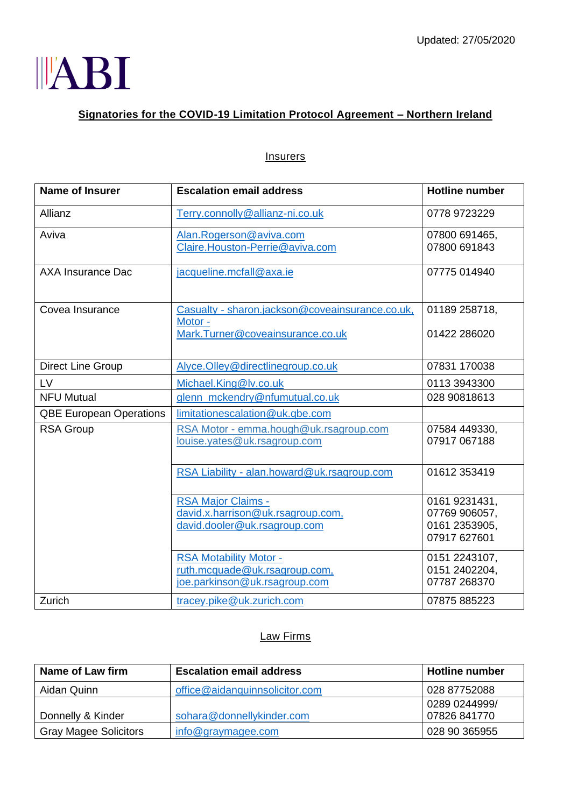

## **Signatories for the COVID-19 Limitation Protocol Agreement – Northern Ireland**

| <b>Insurers</b> |
|-----------------|
|-----------------|

| <b>Name of Insurer</b>         | <b>Escalation email address</b>                                                                 | <b>Hotline number</b>                                           |
|--------------------------------|-------------------------------------------------------------------------------------------------|-----------------------------------------------------------------|
| Allianz                        | Terry.connolly@allianz-ni.co.uk                                                                 | 0778 9723229                                                    |
| Aviva                          | Alan.Rogerson@aviva.com<br>Claire.Houston-Perrie@aviva.com                                      | 07800 691465,<br>07800 691843                                   |
| <b>AXA Insurance Dac</b>       | jacqueline.mcfall@axa.ie                                                                        | 07775 014940                                                    |
| Covea Insurance                | Casualty - sharon.jackson@coveainsurance.co.uk,<br>Motor -<br>Mark. Turner@coveainsurance.co.uk | 01189 258718,<br>01422 286020                                   |
| <b>Direct Line Group</b>       | Alyce.Olley@directlinegroup.co.uk                                                               | 07831 170038                                                    |
| LV                             | Michael.King@lv.co.uk                                                                           | 0113 3943300                                                    |
| <b>NFU Mutual</b>              | glenn_mckendry@nfumutual.co.uk                                                                  | 028 90818613                                                    |
| <b>QBE European Operations</b> | limitationescalation@uk.qbe.com                                                                 |                                                                 |
| <b>RSA Group</b>               | RSA Motor - emma.hough@uk.rsagroup.com<br>louise.yates@uk.rsagroup.com                          | 07584 449330,<br>07917 067188                                   |
|                                | RSA Liability - alan.howard@uk.rsagroup.com                                                     | 01612 353419                                                    |
|                                | <b>RSA Major Claims -</b><br>david.x.harrison@uk.rsagroup.com,<br>david.dooler@uk.rsagroup.com  | 0161 9231431,<br>07769 906057,<br>0161 2353905,<br>07917 627601 |
|                                | <b>RSA Motability Motor -</b><br>ruth.mcquade@uk.rsagroup.com,<br>joe.parkinson@uk.rsagroup.com | 0151 2243107,<br>0151 2402204,<br>07787 268370                  |
| Zurich                         | tracey.pike@uk.zurich.com                                                                       | 07875 885223                                                    |

## Law Firms

| Name of Law firm             | <b>Escalation email address</b> | <b>Hotline number</b> |
|------------------------------|---------------------------------|-----------------------|
| Aidan Quinn                  | office@aidanquinnsolicitor.com  | 028 87752088          |
|                              |                                 | 0289 0244999/         |
| Donnelly & Kinder            | sohara@donnellykinder.com       | 07826 841770          |
| <b>Gray Magee Solicitors</b> | $info@$ graymagee.com           | 028 90 365955         |